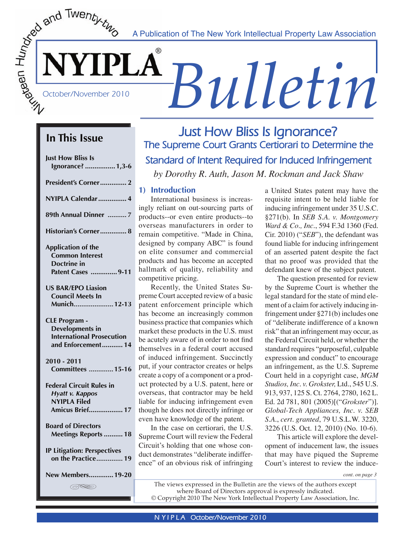**SENIFELA**<br> **Bullet CONTRELA**<br> **BULLETIN** A Publication of The New York Intellectual Property Law Association

# **In This Issue**

| <b>Just How Bliss Is</b><br>Ignorance?  1,3-6                                                            |
|----------------------------------------------------------------------------------------------------------|
| President's Corner 2                                                                                     |
| NYIPLA Calendar  4                                                                                       |
| 89th Annual Dinner 7                                                                                     |
| Historian's Corner 8                                                                                     |
| <b>Application of the</b><br><b>Common Interest</b><br>Doctrine in<br>Patent Cases  9-11                 |
| <b>US BAR/EPO Liasion</b><br><b>Council Meets In</b><br>Munich 12-13                                     |
| <b>CLE Program -</b><br><b>Developments in</b><br><b>International Prosecution</b><br>and Enforcement 14 |
| 2010 - 2011<br><b>Committees  15-16</b>                                                                  |
| <b>Federal Circuit Rules in</b><br><b>Hyatt v. Kappos</b><br>NYIPLA Filed<br>Amicus Brief 17             |
| <b>Board of Directors</b><br>Meetings Reports  18                                                        |
| <b>IP Litigation: Perspectives</b><br>on the Practice 19                                                 |
| New Members 19-20                                                                                        |
| (SSS)                                                                                                    |

# **Just How Bliss Is Ignorance? The Supreme Court Grants Certiorari to Determine the Standard of Intent Required for Induced Infringement**  *by Dorothy R. Auth, Jason M. Rockman and Jack Shaw*

# **1) Introduction**

 International business is increasingly reliant on out-sourcing parts of products--or even entire products--to overseas manufacturers in order to remain competitive. "Made in China, designed by company ABC" is found on elite consumer and commercial products and has become an accepted hallmark of quality, reliability and competitive pricing.

 Recently, the United States Supreme Court accepted review of a basic patent enforcement principle which has become an increasingly common business practice that companies which market these products in the U.S. must be acutely aware of in order to not find themselves in a federal court accused of induced infringement. Succinctly put, if your contractor creates or helps create a copy of a component or a product protected by a U.S. patent, here or overseas, that contractor may be held liable for inducing infringement even though he does not directly infringe or even have knowledge of the patent.

 In the case on certiorari, the U.S. Supreme Court will review the Federal Circuit's holding that one whose conduct demonstrates "deliberate indifference" of an obvious risk of infringing a United States patent may have the requisite intent to be held liable for inducing infringement under 35 U.S.C. §271(b). In *SEB S.A. v. Montgomery Ward & Co., Inc.*, 594 F.3d 1360 (Fed. Cir. 2010) ("*SEB*"), the defendant was found liable for inducing infringement of an asserted patent despite the fact that no proof was provided that the defendant knew of the subject patent.

 The question presented for review by the Supreme Court is whether the legal standard for the state of mind element of a claim for actively inducing infringement under §271(b) includes one of "deliberate indifference of a known risk" that an infringement may occur, as the Federal Circuit held, or whether the standard requires "purposeful, culpable expression and conduct" to encourage an infringement, as the U.S. Supreme Court held in a copyright case, *MGM Studios, Inc. v. Grokster,* Ltd., 545 U.S. 913, 937, 125 S. Ct. 2764, 2780, 162 L. Ed. 2d 781, 801 (2005)[("*Grokster*")]. *Global-Tech Appliances, Inc. v. SEB S.A.*, *cert. granted*, 79 U.S.L.W. 3220, 3226 (U.S. Oct. 12, 2010) (No. 10-6).

 This article will explore the development of inducement law, the issues that may have piqued the Supreme Court's interest to review the induce-

*cont. on page 3*

The views expressed in the Bulletin are the views of the authors except where Board of Directors approval is expressly indicated. © Copyright 2010 The New York Intellectual Property Law Association, Inc.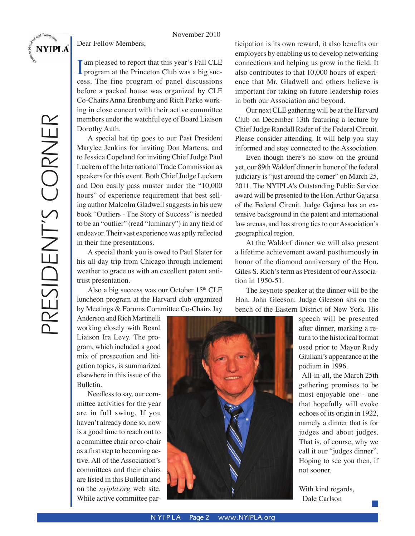November 2010

<span id="page-1-0"></span>**NYIPLA** 

PRESIDENT'S CORNER

PRESIDENT'S CORNER

Dear Fellow Members,

I am pleased to report that this year's Fall CLE<br>program at the Princeton Club was a big success. The fine program of panel discussions before a packed house was organized by CLE Co-Chairs Anna Erenburg and Rich Parke working in close concert with their active committee members under the watchful eye of Board Liaison Dorothy Auth.

 A special hat tip goes to our Past President Marylee Jenkins for inviting Don Martens, and to Jessica Copeland for inviting Chief Judge Paul Luckern of the International Trade Commission as speakers for this event. Both Chief Judge Luckern and Don easily pass muster under the "10,000 hours" of experience requirement that best selling author Malcolm Gladwell suggests in his new book "Outliers - The Story of Success" is needed to be an "outlier" (read "luminary") in any field of endeavor. Their vast experience was aptly reflected in their fine presentations.

 A special thank you is owed to Paul Slater for his all-day trip from Chicago through inclement weather to grace us with an excellent patent antitrust presentation.

Also a big success was our October 15th CLE luncheon program at the Harvard club organized by Meetings & Forums Committee Co-Chairs Jay

Anderson and Rich Martinelli working closely with Board Liaison Ira Levy. The program, which included a good mix of prosecution and litigation topics, is summarized elsewhere in this issue of the Bulletin.

 Needless to say, our committee activities for the year are in full swing. If you haven't already done so, now is a good time to reach out to a committee chair or co-chair as a first step to becoming active. All of the Association's committees and their chairs are listed in this Bulletin and on the *nyipla.org* web site. While active committee participation is its own reward, it also benefits our employers by enabling us to develop networking connections and helping us grow in the field. It also contributes to that 10,000 hours of experience that Mr. Gladwell and others believe is important for taking on future leadership roles in both our Association and beyond.

 Our next CLE gathering will be at the Harvard Club on December 13th featuring a lecture by Chief Judge Randall Rader of the Federal Circuit. Please consider attending. It will help you stay informed and stay connected to the Association.

 Even though there's no snow on the ground yet, our 89th Waldorf dinner in honor of the federal judiciary is "just around the corner" on March 25, 2011. The NYIPLA's Outstanding Public Service award will be presented to the Hon. Arthur Gajarsa of the Federal Circuit. Judge Gajarsa has an extensive background in the patent and international law arenas, and has strong ties to our Association's geographical region.

At the Waldorf dinner we will also present a lifetime achievement award posthumously in honor of the diamond anniversary of the Hon. Giles S. Rich's term as President of our Association in 1950-51.

 The keynote speaker at the dinner will be the Hon. John Gleeson. Judge Gleeson sits on the bench of the Eastern District of New York. His



speech will be presented after dinner, marking a return to the historical format used prior to Mayor Rudy Giuliani's appearance at the podium in 1996.

 All-in-all, the March 25th gathering promises to be most enjoyable one - one that hopefully will evoke echoes of its origin in 1922, namely a dinner that is for judges and about judges. That is, of course, why we call it our "judges dinner". Hoping to see you then, if not sooner.

With kind regards, Dale Carlson

**N YIPLA** Page 2 www.NYIPLA.org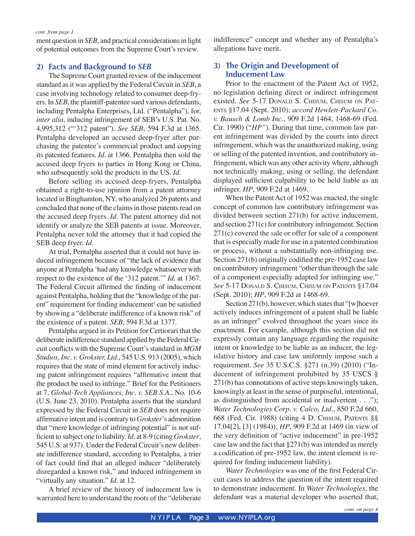ment question in *SEB*, and practical considerations in light of potential outcomes from the Supreme Court's review.

### **2) Facts and Background to** *SEB*

 The Supreme Court granted review of the inducement standard as it was applied by the Federal Circuit in *SEB*, a case involving technology related to consumer deep-fryers. In *SEB*, the plaintiff-patentee sued various defendants, including Pentalpha Enterprises, Ltd. ("Pentalpha"), for, *inter alia*, inducing infringement of SEB's U.S. Pat. No. 4,995,312 ("'312 patent"). *See SEB*, 594 F.3d at 1365. Pentalpha developed an accused deep-fryer after purchasing the patentee's commercial product and copying its patented features. *Id.* at 1366. Pentalpha then sold the accused deep fryers to parties in Hong Kong or China, who subsequently sold the products in the US. *Id.* 

Before selling its accused deep-fryers, Pentalpha obtained a right-to-use opinion from a patent attorney located in Binghamton, NY, who analyzed 26 patents and concluded that none of the claims in those patents read on the accused deep fryers. *Id.* The patent attorney did not identify or analyze the SEB patents at issue. Moreover, Pentalpha never told the attorney that it had copied the SEB deep fryer. *Id.*

 At trial, Pentalpha asserted that it could not have induced infringement because of "the lack of evidence that anyone at Pentalpha 'had any knowledge whatsoever with respect to the existence of the '312 patent.'" *Id.* at 1367. The Federal Circuit affirmed the finding of inducement against Pentalpha, holding that the "knowledge of the patent" requirement for finding inducement<sup>1</sup> can be satisfied by showing a "deliberate indifference of a known risk" of the existence of a patent. *SEB*, 594 F.3d at 1377.

 Pentalpha argued in its Petition for Certiorari that the deliberate indifference standard applied by the Federal Circuit conflicts with the Supreme Court's standard in MGM *Studios, Inc. v. Grokster, Ltd.*, 545 U.S. 913 (2005), which requires that the state of mind element for actively inducing patent infringement requires "affirmative intent that the product be used to infringe." Brief for the Petitioners at 7, *Global-Tech Appliances, Inc. v. SEB S.A.*, No. 10-6 (U.S. June 23, 2010). Pentalpha asserts that the standard expressed by the Federal Circuit in *SEB* does not require affirmative intent and is contrary to *Grokster*'s admonition that "mere knowledge of infringing potential" is not suffi cient to subject one to liability. *Id.* at 8-9 (citing *Grokster*, 545 U.S. at 937). Under the Federal Circuit's new deliberate indifference standard, according to Pentalpha, a trier of fact could find that an alleged inducer "deliberately disregarded a known risk," and induced infringement in "virtually any situation." *Id.* at 12.

 A brief review of the history of inducement law is warranted here to understand the roots of the "deliberate indifference" concept and whether any of Pentalpha's allegations have merit.

### **3) The Origin and Development of Inducement Law**

 Prior to the enactment of the Patent Act of 1952, no legislation defining direct or indirect infringement existed. *See* 5-17 DONALD S. CHISUM, CHISUM ON PAT-ENTS §17.04 (Sept. 2010); *accord Hewlett-Packard Co. v. Bausch & Lomb Inc.*, 909 F.2d 1464, 1468-69 (Fed. Cir. 1990) ("*HP"*). During that time, common law patent infringement was divided by the courts into direct infringement, which was the unauthorized making, using or selling of the patented invention, and contributory infringement, which was any other activity where, although not technically making, using or selling, the defendant displayed sufficient culpability to be held liable as an infringer. *HP*, 909 F.2d at 1469.

 When the Patent Act of 1952 was enacted, the single concept of common law contributory infringement was divided between section 271(b) for active inducement, and section 271(c) for contributory infringement. Section 271(c) covered the sale or offer for sale of a component that is especially made for use in a patented combination or process, without a substantially non-infringing use. Section  $271(b)$  originally codified the pre-1952 case law on contributory infringement "other than through the sale of a component especially adapted for infringing use." *See* 5-17 DONALD S. CHISUM, CHISUM ON PATENTS §17.04 (Sept. 2010); *HP*, 909 F.2d at 1468-69.

 Section 271(b), however, which states that "[w]hoever actively induces infringement of a patent shall be liable as an infringer" evolved throughout the years since its enactment. For example, although this section did not expressly contain any language regarding the requisite intent or knowledge to be liable as an inducer, the legislative history and case law uniformly impose such a requirement. *See* 35 U.S.C.S. §271 (n.39) (2010) ("Inducement of infringement prohibited by 35 USCS § 271(b) has connotations of active steps knowingly taken, knowingly at least in the sense of purposeful, intentional, as distinguished from accidental or inadvertent . . ."); *Water Technologies Corp. v. Calco, Ltd.*, 850 F.2d 660, 668 (Fed. Cir. 1988) (citing 4 D. CHISUM, PATENTS §§ 17.04[2], [3] (1984)); *HP*, 909 F.2d at 1469 (in view of the very definition of "active inducement" in pre-1952 case law and the fact that §271(b) was intended as merely a codification of pre-1952 law, the intent element is required for finding inducement liability).

Water Technologies was one of the first Federal Circuit cases to address the question of the intent required to demonstrate inducement. In *Water Technologies*, the defendant was a material developer who asserted that,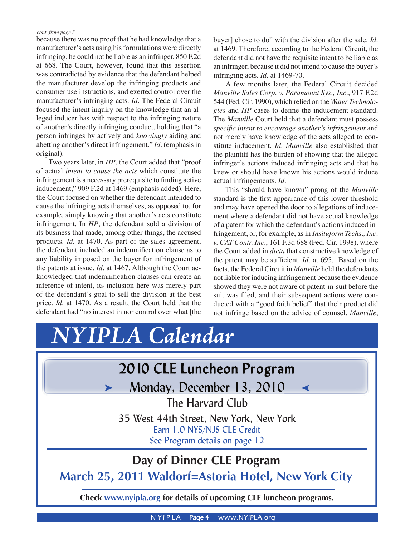<span id="page-3-0"></span>because there was no proof that he had knowledge that a manufacturer's acts using his formulations were directly infringing, he could not be liable as an infringer. 850 F.2d at 668. The Court, however, found that this assertion was contradicted by evidence that the defendant helped the manufacturer develop the infringing products and consumer use instructions, and exerted control over the manufacturer's infringing acts. *Id.* The Federal Circuit focused the intent inquiry on the knowledge that an alleged inducer has with respect to the infringing nature of another's directly infringing conduct, holding that "a person infringes by actively and *knowingly* aiding and abetting another's direct infringement." *Id.* (emphasis in original).

 Two years later, in *HP*, the Court added that "proof of actual *intent to cause the acts* which constitute the infringement is a necessary prerequisite to finding active inducement," 909 F.2d at 1469 (emphasis added). Here, the Court focused on whether the defendant intended to cause the infringing acts themselves, as opposed to, for example, simply knowing that another's acts constitute infringement. In *HP*, the defendant sold a division of its business that made, among other things, the accused products. *Id*. at 1470. As part of the sales agreement, the defendant included an indemnification clause as to any liability imposed on the buyer for infringement of the patents at issue. *Id.* at 1467. Although the Court acknowledged that indemnification clauses can create an inference of intent, its inclusion here was merely part of the defendant's goal to sell the division at the best price. *Id.* at 1470. As a result, the Court held that the defendant had "no interest in nor control over what [the buyer] chose to do" with the division after the sale. *Id*. at 1469. Therefore, according to the Federal Circuit, the defendant did not have the requisite intent to be liable as an infringer, because it did not intend to cause the buyer's infringing acts. *Id*. at 1469-70.

 A few months later, the Federal Circuit decided *Manville Sales Corp. v. Paramount Sys., Inc.*, 917 F.2d 544 (Fed. Cir. 1990), which relied on the *Water Technologies* and *HP* cases to define the inducement standard. The *Manville* Court held that a defendant must possess *specific intent to encourage another's infringement* and not merely have knowledge of the acts alleged to constitute inducement. *Id. Manville* also established that the plaintiff has the burden of showing that the alleged infringer's actions induced infringing acts and that he knew or should have known his actions would induce actual infringements. *Id*.

 This "should have known" prong of the *Manville* standard is the first appearance of this lower threshold and may have opened the door to allegations of inducement where a defendant did not have actual knowledge of a patent for which the defendant's actions induced infringement, or, for example, as in *Insituform Techs., Inc. v. CAT Contr. Inc.*, 161 F.3d 688 (Fed. Cir. 1998), where the Court added in *dicta* that constructive knowledge of the patent may be sufficient. *Id.* at 695. Based on the facts, the Federal Circuit in *Manville* held the defendants not liable for inducing infringement because the evidence showed they were not aware of patent-in-suit before the suit was filed, and their subsequent actions were conducted with a "good faith belief" that their product did not infringe based on the advice of counsel. *Manville*,



**N YIPLA** Page 4 www.NYIPLA.org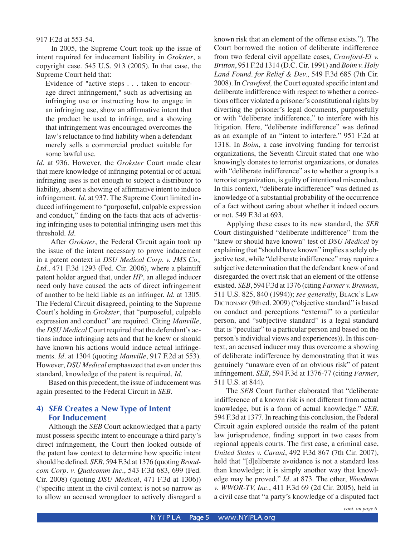917 F.2d at 553-54.

 In 2005, the Supreme Court took up the issue of intent required for inducement liability in *Grokster*, a copyright case. 545 U.S. 913 (2005). In that case, the Supreme Court held that:

Evidence of "active steps . . . taken to encourage direct infringement," such as advertising an infringing use or instructing how to engage in an infringing use, show an affirmative intent that the product be used to infringe, and a showing that infringement was encouraged overcomes the law's reluctance to find liability when a defendant merely sells a commercial product suitable for some lawful use.

*Id.* at 936. However, the *Grokster* Court made clear that mere knowledge of infringing potential or of actual infringing uses is not enough to subject a distributor to liability, absent a showing of affirmative intent to induce infringement. *Id.* at 937. The Supreme Court limited induced infringement to "purposeful, culpable expression and conduct," finding on the facts that acts of advertising infringing uses to potential infringing users met this threshold. *Id.*

 After *Grokster*, the Federal Circuit again took up the issue of the intent necessary to prove inducement in a patent context in *DSU Medical Corp. v. JMS Co., Ltd.*, 471 F.3d 1293 (Fed. Cir. 2006), where a plaintiff patent holder argued that, under *HP*, an alleged inducer need only have caused the acts of direct infringement of another to be held liable as an infringer. *Id*. at 1305. The Federal Circuit disagreed, pointing to the Supreme Court's holding in *Grokster*, that "purposeful, culpable expression and conduct" are required. Citing *Manville*, the *DSU Medical* Court required that the defendant's actions induce infringing acts and that he knew or should have known his actions would induce actual infringements. *Id.* at 1304 (quoting *Manville*, 917 F.2d at 553). However, *DSU Medical* emphasized that even under this standard, knowledge of the patent is required. *Id.*

 Based on this precedent, the issue of inducement was again presented to the Federal Circuit in *SEB*.

# **4)** *SEB* **Creates a New Type of Intent For Inducement**

 Although the *SEB* Court acknowledged that a party must possess specific intent to encourage a third party's direct infringement, the Court then looked outside of the patent law context to determine how specific intent should be defined. *SEB*, 594 F.3d at 1376 (quoting *Broadcom Corp. v. Qualcomm Inc.*, 543 F.3d 683, 699 (Fed. Cir. 2008) (quoting *DSU Medical*, 471 F.3d at 1306)) ("specific intent in the civil context is not so narrow as to allow an accused wrongdoer to actively disregard a known risk that an element of the offense exists."). The Court borrowed the notion of deliberate indifference from two federal civil appellate cases, *Crawford-El v. Britton*, 951 F.2d 1314 (D.C. Cir. 1991) and *Boim v. Holy Land Found. for Relief & Dev.*, 549 F.3d 685 (7th Cir. 2008). In *Crawford*, the Court equated specific intent and deliberate indifference with respect to whether a corrections officer violated a prisoner's constitutional rights by diverting the prisoner's legal documents, purposefully or with "deliberate indifference," to interfere with his litigation. Here, "deliberate indifference" was defined as an example of an "intent to interfere." 951 F.2d at 1318. In *Boim*, a case involving funding for terrorist organizations, the Seventh Circuit stated that one who knowingly donates to terrorist organizations, or donates with "deliberate indifference" as to whether a group is a terrorist organization, is guilty of intentional misconduct. In this context, "deliberate indifference" was defined as knowledge of a substantial probability of the occurrence of a fact without caring about whether it indeed occurs or not. 549 F.3d at 693.

 Applying these cases to its new standard, the *SEB* Court distinguished "deliberate indifference" from the "knew or should have known" test of *DSU Medical* by explaining that "should have known" implies a solely objective test, while "deliberate indifference" may require a subjective determination that the defendant knew of and disregarded the overt risk that an element of the offense existed. *SEB*, 594 F.3d at 1376 (citing *Farmer v. Brennan*, 511 U.S. 825, 840 (1994)); *see generally*, BLACK'S LAW DICTIONARY (9th ed. 2009) ("objective standard" is based on conduct and perceptions "external" to a particular person, and "subjective standard" is a legal standard that is "peculiar" to a particular person and based on the person's individual views and experiences)). In this context, an accused inducer may thus overcome a showing of deliberate indifference by demonstrating that it was genuinely "unaware even of an obvious risk" of patent infringement. *SEB*, 594 F.3d at 1376-77 (citing *Farmer*, 511 U.S. at 844).

 The *SEB* Court further elaborated that "deliberate indifference of a known risk is not different from actual knowledge, but is a form of actual knowledge." *SEB*, 594 F.3d at 1377. In reaching this conclusion, the Federal Circuit again explored outside the realm of the patent law jurisprudence, finding support in two cases from regional appeals courts. The first case, a criminal case, *United States v. Carani*, 492 F.3d 867 (7th Cir. 2007), held that "[d]eliberate avoidance is not a standard less than knowledge; it is simply another way that knowledge may be proved." *Id.* at 873. The other, *Woodman v. WWOR-TV, Inc.*, 411 F.3d 69 (2d Cir. 2005), held in a civil case that "a party's knowledge of a disputed fact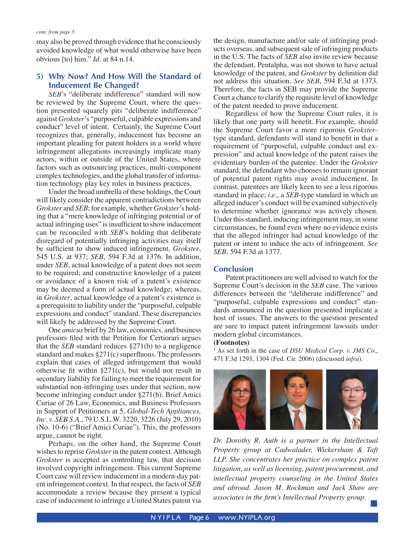may also be proved through evidence that he consciously avoided knowledge of what would otherwise have been obvious [to] him." *Id.* at 84 n.14.

### **5) Why Now? And How Will the Standard of Inducement Be Changed?**

*SEB*'s "deliberate indifference" standard will now be reviewed by the Supreme Court, where the question presented squarely pits "deliberate indifference" against *Grokster*'s "purposeful, culpable expressions and conduct" level of intent. Certainly, the Supreme Court recognizes that, generally, inducement has become an important pleading for patent holders in a world where infringement allegations increasingly implicate many actors, within or outside of the United States, where factors such as outsourcing practices, multi-component complex technologies, and the global transfer of information technology play key roles in business practices.

 Under the broad umbrella of these holdings, the Court will likely consider the apparent contradictions between *Grokster* and *SEB*; for example, whether *Grokster*'s holding that a "mere knowledge of infringing potential or of actual infringing uses" is insufficient to show inducement can be reconciled with *SEB*'s holding that deliberate disregard of potentially infringing activities may itself be sufficient to show induced infringement. *Grokster*, 545 U.S. at 937; *SEB*, 594 F.3d at 1376. In addition, under *SEB*, actual knowledge of a patent does not seem to be required; and constructive knowledge of a patent or avoidance of a known risk of a patent's existence may be deemed a form of actual knowledge; whereas, in *Grokster*, actual knowledge of a patent's existence is a prerequisite to liability under the "purposeful, culpable expressions and conduct" standard. These discrepancies will likely be addressed by the Supreme Court.

 One *amicus* brief by 26 law, economics, and business professors filed with the Petition for Certiorari argues that the *SEB* standard reduces §271(b) to a negligence standard and makes  $\S271(c)$  superfluous. The professors explain that cases of alleged infringement that would otherwise fit within  $\S271(c)$ , but would not result in secondary liability for failing to meet the requirement for substantial non-infringing uses under that section, now become infringing conduct under §271(b). Brief Amici Curiae of 26 Law, Economics, and Business Professors in Support of Petitioners at 5, *Global-Tech Appliances, Inc. v. SEB S.A.*, 79 U.S.L.W. 3220, 3226 (July 29, 2010) (No. 10-6) ("Brief Amici Curiae"). This, the professors argue, cannot be right.

 Perhaps, on the other hand, the Supreme Court wishes to reprise *Grokster* in the patent context. Although *Grokster* is accepted as controlling law, that decision involved copyright infringement. This current Supreme Court case will review inducement in a modern-day patent infringement context. In that respect, the facts of *SEB* accommodate a review because they present a typical case of inducement to infringe a United States patent via the design, manufacture and/or sale of infringing products overseas, and subsequent sale of infringing products in the U.S. The facts of *SEB* also invite review because the defendant, Pentalpha, was not shown to have actual knowledge of the patent, and *Grokster* by definition did not address this situation. *See SEB*, 594 F.3d at 1373. Therefore, the facts in SEB may provide the Supreme Court a chance to clarify the requisite level of knowledge of the patent needed to prove inducement.

 Regardless of how the Supreme Court rules, it is likely that one party will benefit. For example, should the Supreme Court favor a more rigorous *Grokster*type standard, defendants will stand to benefit in that a requirement of "purposeful, culpable conduct and expression" and actual knowledge of the patent raises the evidentiary burden of the patentee. Under the *Grokster* standard, the defendant who chooses to remain ignorant of potential patent rights may avoid inducement. In contrast, patentees are likely keen to see a less rigorous standard in place; *i.e.*, a *SEB*-type standard in which an alleged inducer's conduct will be examined subjectively to determine whether ignorance was actively chosen. Under this standard, inducing infringement may, in some circumstances, be found even where no evidence exists that the alleged infringer had actual knowledge of the patent or intent to induce the acts of infringement. *See SEB*, 594 F.3d at 1377.

#### **Conclusion**

 Patent practitioners are well advised to watch for the Supreme Court's decision in the *SEB* case. The various differences between the "deliberate indifference" and "purposeful, culpable expressions and conduct" standards announced in the question presented implicate a host of issues. The answers to the question presented are sure to impact patent infringement lawsuits under modern global circumstances.

#### **(Footnotes)**

1 As set forth in the case of *DSU Medical Corp. v. JMS Co.*, 471 F.3d 1293, 1304 (Fed. Cir. 2006) (discussed *infra*).



*Dr. Dorothy R. Auth is a partner in the Intellectual Property group at Cadwalader, Wickersham & Taft LLP. She concentrates her practice on complex patent litigation, as well as licensing, patent procurement, and intellectual property counseling in the United States and abroad. Jason M. Rockman and Jack Shaw are associates in the firm's Intellectual Property group.*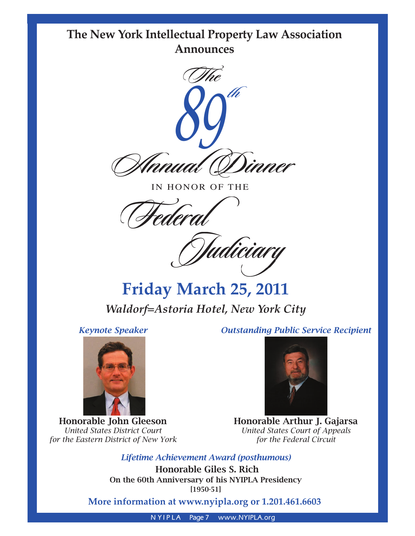# <span id="page-6-0"></span>**The New York Intellectual Property Law Association Announces**



IN HONOR OF THE

 **Federal**

 **Judiciary**

**Friday March 25, 2011** *Waldorf=Astoria Hotel, New York City*

*Keynote Speaker*



Honorable John Gleeson *United States District Court for the Eastern District of New York* *Outstanding Public Service Recipient*



Honorable Arthur J. Gajarsa *United States Court of Appeals for the Federal Circuit*

*Lifetime Achievement Award (posthumous)*

Honorable Giles S. Rich On the 60th Anniversary of his NYIPLA Presidency [1950-51]

**More information at www.nyipla.org or 1.201.461.6603**

**N YIPLA** Page 7 www.NYIPLA.org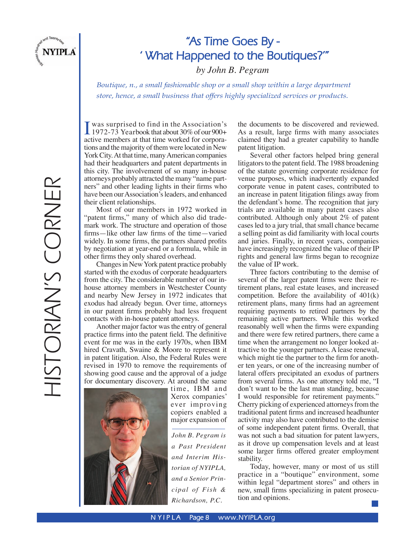<span id="page-7-0"></span>

# **"As Time Goes By - ' What Happened to the Boutiques?'"**

*by John B. Pegram*

*Boutique, n., a small fashionable shop or a small shop within a large department store, hence, a small business that offers highly specialized services or products.*

HISTORIAN'S CORNER HISTORIAN'S CORNER

I was surprised to find in the Association's<br>1972-73 Yearbook that about  $30\%$  of our  $900+$ 1972-73 Yearbook that about 30% of our 900+ active members at that time worked for corporations and the majority of them were located in New York City. At that time, many American companies had their headquarters and patent departments in this city. The involvement of so many in-house attorneys probably attracted the many "name partners" and other leading lights in their firms who have been our Association's leaders, and enhanced their client relationships.

Most of our members in 1972 worked in "patent firms," many of which also did trademark work. The structure and operation of those firms—like other law firms of the time—varied widely. In some firms, the partners shared profits by negotiation at year-end or a formula, while in other firms they only shared overhead.

Changes in New York patent practice probably started with the exodus of corporate headquarters from the city. The considerable number of our inhouse attorney members in Westchester County and nearby New Jersey in 1972 indicates that exodus had already begun. Over time, attorneys in our patent firms probably had less frequent contacts with in-house patent attorneys.

Another major factor was the entry of general practice firms into the patent field. The definitive event for me was in the early 1970s, when IBM hired Cravath, Swaine & Moore to represent it in patent litigation. Also, the Federal Rules were revised in 1970 to remove the requirements of showing good cause and the approval of a judge for documentary discovery. At around the same



time, IBM and Xerox companies' ever improving copiers enabled a major expansion of

*John B. Pegram is a Past President and Interim Historian of NYIPLA, and a Senior Principal of Fish & Richardson, P.C.*

the documents to be discovered and reviewed. As a result, large firms with many associates claimed they had a greater capability to handle patent litigation.

Several other factors helped bring general litigators to the patent field. The 1988 broadening of the statute governing corporate residence for venue purposes, which inadvertently expanded corporate venue in patent cases, contributed to an increase in patent litigation filings away from the defendant's home. The recognition that jury trials are available in many patent cases also contributed. Although only about 2% of patent cases led to a jury trial, that small chance became a selling point as did familiarity with local courts and juries. Finally, in recent years, companies have increasingly recognized the value of their IP rights and general law firms began to recognize the value of IP work.

Three factors contributing to the demise of several of the larger patent firms were their retirement plans, real estate leases, and increased competition. Before the availability of 401(k) retirement plans, many firms had an agreement requiring payments to retired partners by the remaining active partners. While this worked reasonably well when the firms were expanding and there were few retired partners, there came a time when the arrangement no longer looked attractive to the younger partners. A lease renewal, which might tie the partner to the firm for another ten years, or one of the increasing number of lateral offers precipitated an exodus of partners from several firms. As one attorney told me, "I don't want to be the last man standing, because I would responsible for retirement payments." Cherry picking of experienced attorneys from the traditional patent firms and increased headhunter activity may also have contributed to the demise of some independent patent firms. Overall, that was not such a bad situation for patent lawyers, as it drove up compensation levels and at least some larger firms offered greater employment stability.

Today, however, many or most of us still practice in a "boutique" environment, some within legal "department stores" and others in new, small firms specializing in patent prosecution and opinions.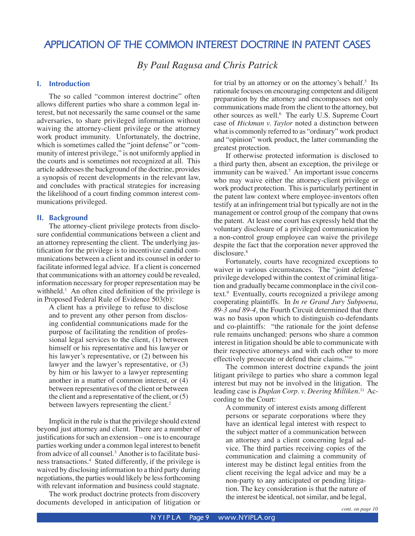# <span id="page-8-0"></span>**APPLICATION OF THE COMMON INTEREST DOCTRINE IN PATENT CASES**

*By Paul Ragusa and Chris Patrick*

#### **I. Introduction**

 The so called "common interest doctrine" often allows different parties who share a common legal interest, but not necessarily the same counsel or the same adversaries, to share privileged information without waiving the attorney-client privilege or the attorney work product immunity. Unfortunately, the doctrine, which is sometimes called the "joint defense" or "community of interest privilege," is not uniformly applied in the courts and is sometimes not recognized at all. This article addresses the background of the doctrine, provides a synopsis of recent developments in the relevant law, and concludes with practical strategies for increasing the likelihood of a court finding common interest communications privileged.

#### **II. Background**

 The attorney-client privilege protects from disclosure confidential communications between a client and an attorney representing the client. The underlying justification for the privilege is to incentivize candid communications between a client and its counsel in order to facilitate informed legal advice. If a client is concerned that communications with an attorney could be revealed, information necessary for proper representation may be withheld.<sup>1</sup> An often cited definition of the privilege is in Proposed Federal Rule of Evidence 503(b):

A client has a privilege to refuse to disclose and to prevent any other person from disclosing confidential communications made for the purpose of facilitating the rendition of professional legal services to the client, (1) between himself or his representative and his lawyer or his lawyer's representative, or (2) between his lawyer and the lawyer's representative, or (3) by him or his lawyer to a lawyer representing another in a matter of common interest, or (4) between representatives of the client or between the client and a representative of the client, or (5) between lawyers representing the client.<sup>2</sup>

 Implicit in the rule is that the privilege should extend beyond just attorney and client. There are a number of justifications for such an extension – one is to encourage parties working under a common legal interest to benefit from advice of all counsel.<sup>3</sup> Another is to facilitate business transactions.4 Stated differently, if the privilege is waived by disclosing information to a third party during negotiations, the parties would likely be less forthcoming with relevant information and business could stagnate.

 The work product doctrine protects from discovery documents developed in anticipation of litigation or

for trial by an attorney or on the attorney's behalf.<sup>5</sup> Its rationale focuses on encouraging competent and diligent preparation by the attorney and encompasses not only communications made from the client to the attorney, but other sources as well.<sup>6</sup> The early U.S. Supreme Court case of *Hickman v. Taylor* noted a distinction between what is commonly referred to as "ordinary" work product and "opinion" work product, the latter commanding the greatest protection.

 If otherwise protected information is disclosed to a third party then, absent an exception, the privilege or immunity can be waived.<sup>7</sup> An important issue concerns who may waive either the attorney-client privilege or work product protection. This is particularly pertinent in the patent law context where employee-inventors often testify at an infringement trial but typically are not in the management or control group of the company that owns the patent. At least one court has expressly held that the voluntary disclosure of a privileged communication by a non-control group employee can waive the privilege despite the fact that the corporation never approved the disclosure.<sup>8</sup>

 Fortunately, courts have recognized exceptions to waiver in various circumstances. The "joint defense" privilege developed within the context of criminal litigation and gradually became commonplace in the civil context.<sup>9</sup> Eventually, courts recognized a privilege among cooperating plaintiffs. In *In re Grand Jury Subpoena, 89-3 and 89-4*, the Fourth Circuit determined that there was no basis upon which to distinguish co-defendants and co-plaintiffs: "the rationale for the joint defense rule remains unchanged: persons who share a common interest in litigation should be able to communicate with their respective attorneys and with each other to more effectively prosecute or defend their claims."10

 The common interest doctrine expands the joint litigant privilege to parties who share a common legal interest but may not be involved in the litigation. The leading case is *Duplan Corp. v. Deering Milliken.*11 According to the Court:

A community of interest exists among different persons or separate corporations where they have an identical legal interest with respect to the subject matter of a communication between an attorney and a client concerning legal advice. The third parties receiving copies of the communication and claiming a community of interest may be distinct legal entities from the client receiving the legal advice and may be a non-party to any anticipated or pending litigation. The key consideration is that the nature of the interest be identical, not similar, and be legal,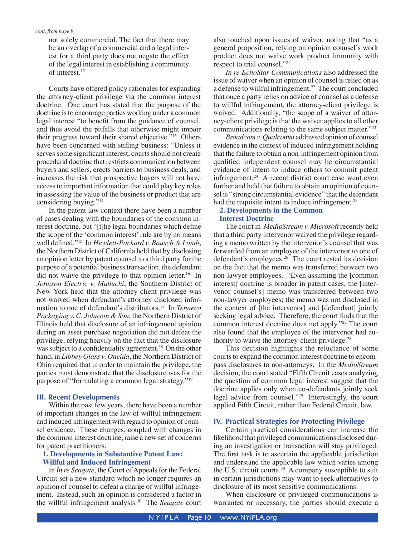not solely commercial. The fact that there may be an overlap of a commercial and a legal interest for a third party does not negate the effect of the legal interest in establishing a community of interest.12

 Courts have offered policy rationales for expanding the attorney-client privilege via the common interest doctrine. One court has stated that the purpose of the doctrine is to encourage parties working under a common legal interest "to benefit from the guidance of counsel, and thus avoid the pitfalls that otherwise might impair their progress toward their shared objective."<sup>13</sup> Others have been concerned with stifling business: "Unless it serves some significant interest, courts should not create procedural doctrine that restricts communication between buyers and sellers, erects barriers to business deals, and increases the risk that prospective buyers will not have access to important information that could play key roles in assessing the value of the business or product that are considering buying."14

 In the patent law context there have been a number of cases dealing with the boundaries of the common interest doctrine, but "[t]he legal boundaries which define the scope of the 'common interest' rule are by no means well defined."<sup>15</sup> In *Hewlett-Packard v. Bausch & Lomb*, the Northern District of California held that by disclosing an opinion letter by patent counsel to a third party for the purpose of a potential business transaction, the defendant did not waive the privilege to that opinion letter.<sup>16</sup> In *Johnson Electric v. Mabuchi*, the Southern District of New York held that the attorney-client privilege was not waived when defendant's attorney disclosed information to one of defendant's distributors.17 In *Tenneco Packaging v. C. Johnson & Son*, the Northern District of Illinois held that disclosure of an infringement opinion during an asset purchase negotiation did not defeat the privilege, relying heavily on the fact that the disclosure was subject to a confidentiality agreement.<sup>18</sup> On the other hand, in *Libbey Glass v. Oneida*, the Northern District of Ohio required that in order to maintain the privilege, the parties must demonstrate that the disclosure was for the purpose of "formulating a common legal strategy."19

#### **III. Recent Developments**

 Within the past few years, there have been a number of important changes in the law of willful infringement and induced infringement with regard to opinion of counsel evidence. These changes, coupled with changes in the common interest doctrine, raise a new set of concerns for patent practitioners.

#### **1. Developments in Substantive Patent Law: Willful and Induced Infringement**

 In *In re Seagate*, the Court of Appeals for the Federal Circuit set a new standard which no longer requires an opinion of counsel to defeat a charge of willful infringement. Instead, such an opinion is considered a factor in the willful infringement analysis.20 The *Seagate* court also touched upon issues of waiver, noting that "as a general proposition, relying on opinion counsel's work product does not waive work product immunity with respect to trial counsel."21

*In re EchoStar Communications* also addressed the issue of waiver when an opinion of counsel is relied on as a defense to willful infringement.<sup>22</sup> The court concluded that once a party relies on advice of counsel as a defense to willful infringement, the attorney-client privilege is waived. Additionally, "the scope of a waiver of attorney-client privilege is that the waiver applies to all other communications relating to the same subject matter."23

*Broadcom v. Qualcomm* addressed opinion of counsel evidence in the context of induced infringement holding that the failure to obtain a non-infringement opinion from qualified independent counsel may be circumstantial evidence of intent to induce others to commit patent infringement. $24$  A recent district court case went even further and held that failure to obtain an opinion of counsel is "strong circumstantial evidence" that the defendant had the requisite intent to induce infringement.<sup>25</sup>

#### **2. Developments in the Common Interest Doctrine**

 The court in *MedioStream v. Microsoft* recently held that a third party intervenor waived the privilege regarding a memo written by the intervenor's counsel that was forwarded from an employee of the intervenor to one of defendant's employees.<sup>26</sup> The court rested its decision on the fact that the memo was transferred between two non-lawyer employees. "Even assuming the [common interest] doctrine is broader in patent cases, the [intervenor counsel's] memo was transferred between two non-lawyer employees; the memo was not disclosed in the context of [the intervenor] and [defendant] jointly seeking legal advice. Therefore, the court finds that the common interest doctrine does not apply."27 The court also found that the employee of the intervenor had authority to waive the attorney-client privilege. $28$ 

 This decision highlights the reluctance of some courts to expand the common interest doctrine to encompass disclosures to non-attorneys. In the *MedioStream*  decision, the court stated "Fifth Circuit cases analyzing the question of common legal interest suggest that the doctrine applies only when co-defendants jointly seek legal advice from counsel."29 Interestingly, the court applied Fifth Circuit, rather than Federal Circuit, law.

#### **IV. Practical Strategies for Protecting Privilege**

 Certain practical considerations can increase the likelihood that privileged communications disclosed during an investigation or transaction will stay privileged. The first task is to ascertain the applicable jurisdiction and understand the applicable law which varies among the U.S. circuit courts.<sup>30</sup> A company susceptible to suit in certain jurisdictions may want to seek alternatives to disclosure of its most sensitive communications.

 When disclosure of privileged communications is warranted or necessary, the parties should execute a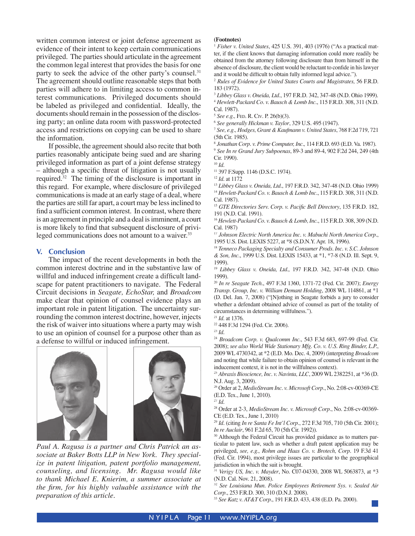written common interest or joint defense agreement as evidence of their intent to keep certain communications privileged. The parties should articulate in the agreement the common legal interest that provides the basis for one party to seek the advice of the other party's counsel.<sup>31</sup> The agreement should outline reasonable steps that both parties will adhere to in limiting access to common interest communications. Privileged documents should be labeled as privileged and confidential. Ideally, the documents should remain in the possession of the disclosing party; an online data room with password-protected access and restrictions on copying can be used to share the information.

 If possible, the agreement should also recite that both parties reasonably anticipate being sued and are sharing privileged information as part of a joint defense strategy – although a specific threat of litigation is not usually required.32 The timing of the disclosure is important in this regard. For example, where disclosure of privileged communications is made at an early stage of a deal, where the parties are still far apart, a court may be less inclined to find a sufficient common interest. In contrast, where there is an agreement in principle and a deal is imminent, a court is more likely to find that subsequent disclosure of privileged communications does not amount to a waiver.<sup>33</sup>

#### **V. Conclusion**

 The impact of the recent developments in both the common interest doctrine and in the substantive law of willful and induced infringement create a difficult landscape for patent practitioners to navigate. The Federal Circuit decisions in *Seagate, EchoStar,* and *Broadcom* make clear that opinion of counsel evidence plays an important role in patent litigation. The uncertainty surrounding the common interest doctrine, however, injects the risk of waiver into situations where a party may wish to use an opinion of counsel for a purpose other than as a defense to willful or induced infringement.



*Paul A. Ragusa is a partner and Chris Patrick an associate at Baker Botts LLP in New York. They specialize in patent litigation, patent portfolio management, counseling, and licensing. Mr. Ragusa would like to thank Michael E. Knierim, a summer associate at the firm, for his highly valuable assistance with the preparation of this article.*

#### **(Footnotes)**

<sup>1</sup> *Fisher v. United States*, 425 U.S. 391, 403 (1976) ("As a practical matter, if the client knows that damaging information could more readily be obtained from the attorney following disclosure than from himself in the absence of disclosure, the client would be reluctant to confide in his lawyer and it would be difficult to obtain fully informed legal advice.").

<sup>2</sup> *Rules of Evidence for United States Courts and Magistrates,* 56 F.R.D. 183 (1972).

<sup>3</sup> *Libbey Glass v. Oneida, Ltd*., 197 F.R.D. 342, 347-48 (N.D. Ohio 1999).

<sup>4</sup> *Hewlett-Packard Co. v. Bausch & Lomb Inc*., 115 F.R.D. 308, 311 (N.D. Cal. 1987).

<sup>5</sup> See e.g., FED. R. CIv. P. 26(b)(3).<br><sup>6</sup> See generally Hickman v. Taylor, 329 U.S. 495 (1947).

<sup>7</sup> *See, e.g., Hodges, Grant & Kaufmann v. United States*, 768 F.2d 719, 721 (5th Cir. 1985).

<sup>8</sup> *Jonathan Corp. v. Prime Computer, Inc.,* 114 F.R.D. 693 (E.D. Va. 1987). <sup>9</sup> *See In re Grand Jury Subpoenas*, 89-3 and 89-4, 902 F.2d 244, 249 (4th Cir. 1990).

<sup>10</sup> *Id.*

<sup>11</sup> 397 F.Supp. 1146 (D.S.C. 1974).

<sup>13</sup> *Libbey Glass v. Oneida, Ltd*., 197 F.R.D. 342, 347-48 (N.D. Ohio 1999) <sup>14</sup> *Hewlett-Packard Co. v. Bausch & Lomb Inc*., 115 F.R.D. 308, 311 (N.D. Cal. 1987).

<sup>15</sup> *GTE Directories Serv. Corp. v. Pacific Bell Directory*, 135 F.R.D. 182, 191 (N.D. Cal. 1991).

<sup>16</sup> *Hewlett-Packard Co. v. Bausch & Lomb, Inc*., 115 F.R.D. 308, 309 (N.D. Cal. 1987)

<sup>17</sup> *Johnson Electric North America Inc. v. Mabuchi North America Corp*., 1995 U.S. Dist. LEXIS 5227, at \*8 (S.D.N.Y. Apr. 18, 1996).

<sup>18</sup> *Tenneco Packaging Specialty and Consumer Prods. Inc. v. S.C. Johnson & Son, Inc*., 1999 U.S. Dist. LEXIS 15433, at \*1, \*7-8 (N.D. Ill. Sept. 9, 1999).

<sup>19</sup> *Libbey Glass v. Oneida, Ltd.,* 197 F.R.D. 342, 347-48 (N.D. Ohio 1999).

<sup>20</sup> *In re Seagate Tech*., 497 F.3d 1360, 1371-72 (Fed. Cir. 2007); *Energy Transp. Group, Inc. v. William Demant Holding*, 2008 WL 114861, at \*1 (D. Del. Jan. 7, 2008) ("[N]othing in Seagate forbids a jury to consider whether a defendant obtained advice of counsel as part of the totality of circumstances in determining willfulness.").

- 22 448 F.3d 1294 (Fed. Cir. 2006).
- <sup>23</sup> *Id.*

<sup>24</sup> *Broadcom Corp. v. Qualcomm Inc*., 543 F.3d 683, 697-99 (Fed. Cir. 2008); *see also World Wide Stationary Mfg. Co. v. U.S. Ring Binder, L.P.*, 2009 WL 4730342, at \*2 (E.D. Mo. Dec. 4, 2009) (interpreting *Broadcom*  and noting that while failure to obtain opinion of counsel is relevant in the inducement context, it is not in the willfulness context).

<sup>25</sup> *Abraxis Bioscience, Inc. v. Navinta, LLC*, 2009 WL 2382251, at \*36 (D. N.J. Aug. 3, 2009).

26 Order at 2, *MedioStream Inc. v. Microsoft Corp*., No. 2:08-cv-00369-CE (E.D. Tex., June 1, 2010).

<sup>27</sup> *Id.*

28 Order at 2-3, *MedioStream Inc. v. Microsoft Corp*., No. 2:08-cv-00369- CE (E.D. Tex., June 1, 2010)

<sup>29</sup> *Id.* (citing *In re Santa Fe Int'l Corp*., 272 F.3d 705, 710 (5th Cir. 2001); *In re Auclair*, 961 F.2d 65, 70 (5th Cir. 1992)).

<sup>30</sup> Although the Federal Circuit has provided guidance as to matters particular to patent law, such as whether a draft patent application may be privileged, *see, e.g., Rohm and Haas Co. v. Brotech, Corp.* 19 F.3d 41 (Fed. Cir. 1994), most privilege issues are particular to the geographical jurisdiction in which the suit is brought.

<sup>31</sup> *Verigy US, Inc. v. Mayder*, No. C07-04330, 2008 WL 5063873, at \*3 (N.D. Cal. Nov. 21, 2008).

<sup>32</sup> *See Louisiana Mun. Police Employees Retirement Sys. v. Sealed Air Corp.*, 253 F.R.D. 300, 310 (D.N.J. 2008).

<sup>33</sup> *See Katz v. AT&T Corp.*, 191 F.R.D. 433, 438 (E.D. Pa. 2000).

<sup>12</sup> *Id.* at 1172

<sup>21</sup> *Id.* at 1376.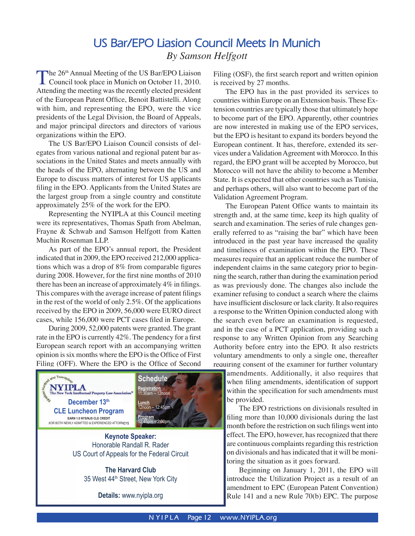# **US Bar/EPO Liasion Council Meets In Munich** *By Samson Helfgott*

<span id="page-11-0"></span>The 26<sup>th</sup> Annual Meeting of the US Bar/EPO Liaison<br>Council took place in Munich on October 11, 2010. Attending the meeting was the recently elected president of the European Patent Office, Benoit Battistelli. Along with him, and representing the EPO, were the vice presidents of the Legal Division, the Board of Appeals, and major principal directors and directors of various organizations within the EPO.

The US Bar/EPO Liaison Council consists of delegates from various national and regional patent bar associations in the United States and meets annually with the heads of the EPO, alternating between the US and Europe to discuss matters of interest for US applicants filing in the EPO. Applicants from the United States are the largest group from a single country and constitute approximately 25% of the work for the EPO.

Representing the NYIPLA at this Council meeting were its representatives, Thomas Spath from Abelman, Frayne & Schwab and Samson Helfgott from Katten Muchin Rosenman LLP.

As part of the EPO's annual report, the President indicated that in 2009, the EPO received 212,000 applications which was a drop of  $8\%$  from comparable figures during 2008. However, for the first nine months of 2010 there has been an increase of approximately  $4\%$  in filings. This compares with the average increase of patent filings in the rest of the world of only 2.5%. Of the applications received by the EPO in 2009, 56,000 were EURO direct cases, while 156,000 were PCT cases filed in Europe.

During 2009, 52,000 patents were granted. The grant rate in the EPO is currently 42%. The pendency for a first European search report with an accompanying written opinion is six months where the EPO is the Office of First Filing (OFF). Where the EPO is the Office of Second



Honorable Randall R. Rader US Court of Appeals for the Federal Circuit

> **The Harvard Club** 35 West 44<sup>th</sup> Street, New York City

> > **Details:** www.nyipla.org

Filing (OSF), the first search report and written opinion is received by 27 months.

The EPO has in the past provided its services to countries within Europe on an Extension basis. These Extension countries are typically those that ultimately hope to become part of the EPO. Apparently, other countries are now interested in making use of the EPO services, but the EPO is hesitant to expand its borders beyond the European continent. It has, therefore, extended its services under a Validation Agreement with Morocco. In this regard, the EPO grant will be accepted by Morocco, but Morocco will not have the ability to become a Member State. It is expected that other countries such as Tunisia, and perhaps others, will also want to become part of the Validation Agreement Program.

The European Patent Office wants to maintain its strength and, at the same time, keep its high quality of search and examination. The series of rule changes generally referred to as "raising the bar" which have been introduced in the past year have increased the quality and timeliness of examination within the EPO. These measures require that an applicant reduce the number of independent claims in the same category prior to beginning the search, rather than during the examination period as was previously done. The changes also include the examiner refusing to conduct a search where the claims have insufficient disclosure or lack clarity. It also requires a response to the Written Opinion conducted along with the search even before an examination is requested, and in the case of a PCT application, providing such a response to any Written Opinion from any Searching Authority before entry into the EPO. It also restricts voluntary amendments to only a single one, thereafter requiring consent of the examiner for further voluntary amendments. Additionally, it also requires that

when filing amendments, identification of support within the specification for such amendments must be provided.

The EPO restrictions on divisionals resulted in filing more than 10,000 divisionals during the last month before the restriction on such filings went into effect. The EPO, however, has recognized that there are continuous complaints regarding this restriction on divisionals and has indicated that it will be monitoring the situation as it goes forward.

Beginning on January 1, 2011, the EPO will introduce the Utilization Project as a result of an amendment to EPC (European Patent Convention) Rule 141 and a new Rule 70(b) EPC. The purpose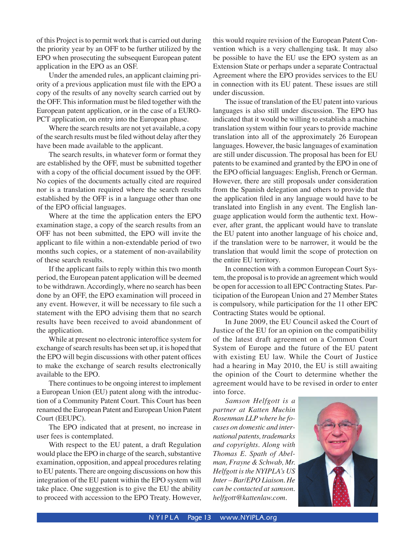of this Project is to permit work that is carried out during the priority year by an OFF to be further utilized by the EPO when prosecuting the subsequent European patent application in the EPO as an OSF.

Under the amended rules, an applicant claiming priority of a previous application must file with the EPO a copy of the results of any novelty search carried out by the OFF. This information must be filed together with the European patent application, or in the case of a EURO-PCT application, on entry into the European phase.

Where the search results are not yet available, a copy of the search results must be fi led without delay after they have been made available to the applicant.

The search results, in whatever form or format they are established by the OFF, must be submitted together with a copy of the official document issued by the OFF. No copies of the documents actually cited are required nor is a translation required where the search results established by the OFF is in a language other than one of the EPO official languages.

Where at the time the application enters the EPO examination stage, a copy of the search results from an OFF has not been submitted, the EPO will invite the applicant to file within a non-extendable period of two months such copies, or a statement of non-availability of these search results.

If the applicant fails to reply within this two month period, the European patent application will be deemed to be withdrawn. Accordingly, where no search has been done by an OFF, the EPO examination will proceed in any event. However, it will be necessary to file such a statement with the EPO advising them that no search results have been received to avoid abandonment of the application.

While at present no electronic interoffice system for exchange of search results has been set up, it is hoped that the EPO will begin discussions with other patent offices to make the exchange of search results electronically available to the EPO.

There continues to be ongoing interest to implement a European Union (EU) patent along with the introduction of a Community Patent Court. This Court has been renamed the European Patent and European Union Patent Court (EEUPC).

The EPO indicated that at present, no increase in user fees is contemplated.

With respect to the EU patent, a draft Regulation would place the EPO in charge of the search, substantive examination, opposition, and appeal procedures relating to EU patents. There are ongoing discussions on how this integration of the EU patent within the EPO system will take place. One suggestion is to give the EU the ability to proceed with accession to the EPO Treaty. However, this would require revision of the European Patent Convention which is a very challenging task. It may also be possible to have the EU use the EPO system as an Extension State or perhaps under a separate Contractual Agreement where the EPO provides services to the EU in connection with its EU patent. These issues are still under discussion.

The issue of translation of the EU patent into various languages is also still under discussion. The EPO has indicated that it would be willing to establish a machine translation system within four years to provide machine translation into all of the approximately 26 European languages. However, the basic languages of examination are still under discussion. The proposal has been for EU patents to be examined and granted by the EPO in one of the EPO official languages: English, French or German. However, there are still proposals under consideration from the Spanish delegation and others to provide that the application filed in any language would have to be translated into English in any event. The English language application would form the authentic text. However, after grant, the applicant would have to translate the EU patent into another language of his choice and, if the translation were to be narrower, it would be the translation that would limit the scope of protection on the entire EU territory.

In connection with a common European Court System, the proposal is to provide an agreement which would be open for accession to all EPC Contracting States. Participation of the European Union and 27 Member States is compulsory, while participation for the 11 other EPC Contracting States would be optional.

In June 2009, the EU Council asked the Court of Justice of the EU for an opinion on the compatibility of the latest draft agreement on a Common Court System of Europe and the future of the EU patent with existing EU law. While the Court of Justice had a hearing in May 2010, the EU is still awaiting the opinion of the Court to determine whether the agreement would have to be revised in order to enter into force.

*Samson Helfgott is a partner at Katten Muchin Rosenman LLP where he focuses on domestic and international patents, trademarks and copyrights. Along with Thomas E. Spath of Abelman, Frayne & Schwab, Mr. Helfgott is the NYIPLA's US Inter – Bar/EPO Liaison. He can be contacted atsamson. helfgott@kattenlaw.com*.

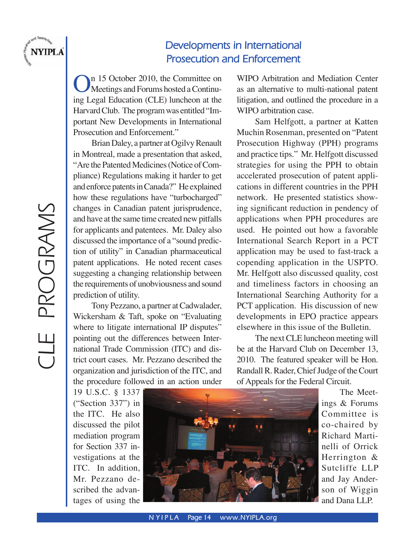<span id="page-13-0"></span>

# **Developments in International Prosecution and Enforcement**

In 15 October 2010, the Committee on Meetings and Forums hosted a Continuing Legal Education (CLE) luncheon at the Harvard Club. The program was entitled "Important New Developments in International Prosecution and Enforcement."

Brian Daley, a partner at Ogilvy Renault in Montreal, made a presentation that asked, "Are the Patented Medicines (Notice of Compliance) Regulations making it harder to get and enforce patents in Canada?" He explained how these regulations have "turbocharged" changes in Canadian patent jurisprudence, and have at the same time created new pitfalls for applicants and patentees. Mr. Daley also discussed the importance of a "sound prediction of utility" in Canadian pharmaceutical patent applications. He noted recent cases suggesting a changing relationship between the requirements of unobviousness and sound prediction of utility.

Tony Pezzano, a partner at Cadwalader, Wickersham & Taft, spoke on "Evaluating where to litigate international IP disputes" pointing out the differences between International Trade Commission (ITC) and district court cases. Mr. Pezzano described the organization and jurisdiction of the ITC, and the procedure followed in an action under

19 U.S.C. § 1337 ("Section 337") in the ITC. He also discussed the pilot mediation program for Section 337 investigations at the ITC. In addition, Mr. Pezzano described the advantages of using the

WIPO Arbitration and Mediation Center as an alternative to multi-national patent litigation, and outlined the procedure in a WIPO arbitration case.

Sam Helfgott, a partner at Katten Muchin Rosenman, presented on "Patent Prosecution Highway (PPH) programs and practice tips." Mr. Helfgott discussed strategies for using the PPH to obtain accelerated prosecution of patent applications in different countries in the PPH network. He presented statistics showing significant reduction in pendency of applications when PPH procedures are used. He pointed out how a favorable International Search Report in a PCT application may be used to fast-track a copending application in the USPTO. Mr. Helfgott also discussed quality, cost and timeliness factors in choosing an International Searching Authority for a PCT application. His discussion of new developments in EPO practice appears elsewhere in this issue of the Bulletin.

The next CLE luncheon meeting will be at the Harvard Club on December 13, 2010. The featured speaker will be Hon. Randall R. Rader, Chief Judge of the Court of Appeals for the Federal Circuit.



The Meetings & Forums Committee is co-chaired by Richard Martinelli of Orrick Herrington & Sutcliffe LLP and Jay Anderson of Wiggin and Dana LLP.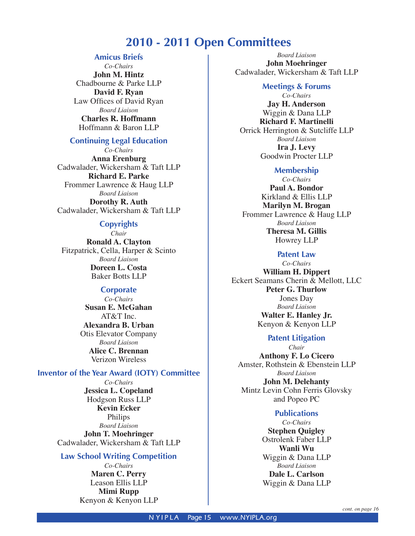# **2010 - 2011 Open Committees**

### **Amicus Briefs**

<span id="page-14-0"></span>*Co-Chairs* **John M. Hintz** Chadbourne & Parke LLP **David F. Ryan** Law Offices of David Ryan *Board Liaison* **Charles R. Hoffmann** Hoffmann & Baron LLP

### **Continuing Legal Education**

*Co-Chairs* **Anna Erenburg** Cadwalader, Wickersham & Taft LLP **Richard E. Parke**  Frommer Lawrence & Haug LLP *Board Liaison* **Dorothy R. Auth**  Cadwalader, Wickersham & Taft LLP

# **Copyrights**

*Chair* **Ronald A. Clayton**  Fitzpatrick, Cella, Harper & Scinto *Board Liaison* **Doreen L. Costa**  Baker Botts LLP

# **Corporate**

*Co-Chairs* **Susan E. McGahan**  AT&T Inc. **Alexandra B. Urban**  Otis Elevator Company *Board Liaison* **Alice C. Brennan**  Verizon Wireless

### **Inventor of the Year Award (IOTY) Committee**

*Co-Chairs* **Jessica L. Copeland**  Hodgson Russ LLP **Kevin Ecker** Philips *Board Liaison* **John T. Moehringer**  Cadwalader, Wickersham & Taft LLP

### **Law School Writing Competition**

*Co-Chairs* **Maren C. Perry** Leason Ellis LLP **Mimi Rupp** Kenyon & Kenyon LLP

*Board Liaison* **John Moehringer**  Cadwalader, Wickersham & Taft LLP

### **Meetings & Forums**

*Co-Chairs* **Jay H. Anderson** Wiggin & Dana LLP **Richard F. Martinelli**  Orrick Herrington & Sutcliffe LLP *Board Liaison* **Ira J. Levy**  Goodwin Procter LLP

#### **Membership**

*Co-Chairs* **Paul A. Bondor**  Kirkland & Ellis LLP **Marilyn M. Brogan**  Frommer Lawrence & Haug LLP *Board Liaison* **Theresa M. Gillis** Howrey LLP

### **Patent Law**

*Co-Chairs* **William H. Dippert**  Eckert Seamans Cherin & Mellott, LLC **Peter G. Thurlow**  Jones Day *Board Liaison* **Walter E. Hanley Jr.**  Kenyon & Kenyon LLP

# **Patent Litigation**

*Chair* **Anthony F. Lo Cicero**  Amster, Rothstein & Ebenstein LLP *Board Liaison* **John M. Delehanty**  Mintz Levin Cohn Ferris Glovsky and Popeo PC

# **Publications**

*Co-Chairs* **Stephen Quigley** Ostrolenk Faber LLP **Wanli Wu** Wiggin & Dana LLP *Board Liaison* **Dale L. Carlson**  Wiggin & Dana LLP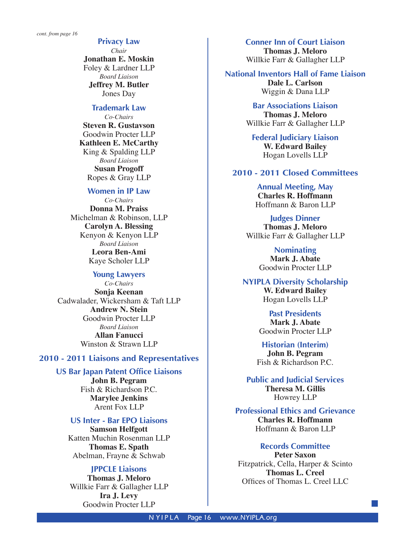**Privacy Law** 

*Chair* **Jonathan E. Moskin**  Foley & Lardner LLP *Board Liaison* **Jeffrey M. Butler**  Jones Day

# **Trademark Law**

*Co-Chairs* **Steven R. Gustavson**  Goodwin Procter LLP **Kathleen E. McCarthy**  King & Spalding LLP *Board Liaison* **Susan Progoff**  Ropes & Gray LLP

### **Women in IP Law**

*Co-Chairs* **Donna M. Praiss**  Michelman & Robinson, LLP **Carolyn A. Blessing**  Kenyon & Kenyon LLP *Board Liaison* **Leora Ben-Ami**  Kaye Scholer LLP

#### **Young Lawyers**

*Co-Chairs* **Sonja Keenan**  Cadwalader, Wickersham & Taft LLP **Andrew N. Stein**  Goodwin Procter LLP *Board Liaison* **Allan Fanucci** Winston & Strawn LLP

### **2010 - 2011 Liaisons and Representatives**

#### **US Bar Japan Patent Office Liaisons**

**John B. Pegram** Fish & Richardson P.C. **Marylee Jenkins** Arent Fox LLP

# **US Inter - Bar EPO Liaisons**

**Samson Helfgott** Katten Muchin Rosenman LLP **Thomas E. Spath** Abelman, Frayne & Schwab

# **JPPCLE Liaisons**

**Thomas J. Meloro** Willkie Farr & Gallagher LLP **Ira J. Levy** Goodwin Procter LLP

**Conner Inn of Court Liaison Thomas J. Meloro** Willkie Farr & Gallagher LLP

#### **National Inventors Hall of Fame Liaison Dale L. Carlson**

Wiggin & Dana LLP

**Bar Associations Liaison Thomas J. Meloro** Willkie Farr & Gallagher LLP

**Federal Judiciary Liaison W. Edward Bailey**  Hogan Lovells LLP

### **2010 - 2011 Closed Committees**

**Annual Meeting, May Charles R. Hoffmann**  Hoffmann & Baron LLP

**Judges Dinner Thomas J. Meloro**  Willkie Farr & Gallagher LLP

> **Nominating Mark J. Abate**  Goodwin Procter LLP

**NYIPLA Diversity Scholarship W. Edward Bailey** Hogan Lovells LLP

> **Past Presidents Mark J. Abate** Goodwin Procter LLP

**Historian (Interim) John B. Pegram**  Fish & Richardson P.C.

**Public and Judicial Services Theresa M. Gillis**  Howrey LLP

**Professional Ethics and Grievance Charles R. Hoffmann**  Hoffmann & Baron LLP

#### **Records Committee**

**Peter Saxon**  Fitzpatrick, Cella, Harper & Scinto **Thomas L. Creel**  Offices of Thomas L. Creel LLC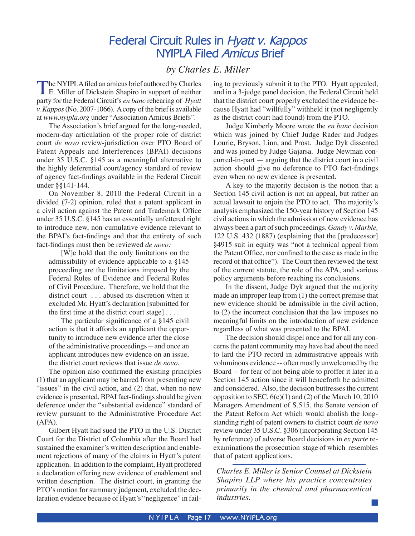# **Federal Circuit Rules in** *Hyatt v. Kappos* **NYIPLA Filed** *Amicus* **Brief**

# *by Charles E. Miller*

<span id="page-16-0"></span>The NYIPLA filed an amicus brief authored by Charles<br>
E. Miller of Dickstein Shapiro in support of neither party for the Federal Circuit's *en banc* rehearing of *Hyatt v. Kappos* (No. 2007-1066). A copy of the brief is available at *www.nyipla.org* under "Association Amicus Briefs".

The Association's brief argued for the long-needed, modern-day articulation of the proper role of district court *de novo* review-jurisdiction over PTO Board of Patent Appeals and Interferences (BPAI) decisions under 35 U.S.C. §145 as a meaningful alternative to the highly deferential court/agency standard of review of agency fact-findings available in the Federal Circuit under §§141-144.

On November 8, 2010 the Federal Circuit in a divided (7-2) opinion, ruled that a patent applicant in a civil action against the Patent and Trademark Office under 35 U.S.C. §145 has an essentially unfettered right to introduce new, non-cumulative evidence relevant to the BPAI's fact-findings and that the entirety of such fact-findings must then be reviewed *de novo*:

[W]e hold that the only limitations on the admissibility of evidence applicable to a §145 proceeding are the limitations imposed by the Federal Rules of Evidence and Federal Rules of Civil Procedure. Therefore, we hold that the district court . . . abused its discretion when it excluded Mr. Hyatt's declaration [submitted for the first time at the district court stage]  $\dots$ .

The particular significance of a  $§145$  civil action is that it affords an applicant the opportunity to introduce new evidence after the close of the administrative proceedings—and once an applicant introduces new evidence on an issue, the district court reviews that issue *de novo*.

The opinion also confirmed the existing principles (1) that an applicant may be barred from presenting new "issues" in the civil action, and (2) that, when no new evidence is presented, BPAI fact-findings should be given deference under the "substantial evidence" standard of review pursuant to the Administrative Procedure Act (APA).

Gilbert Hyatt had sued the PTO in the U.S. District Court for the District of Columbia after the Board had sustained the examiner's written description and enablement rejections of many of the claims in Hyatt's patent application. In addition to the complaint, Hyatt proffered a declaration offering new evidence of enablement and written description. The district court, in granting the PTO's motion for summary judgment, excluded the declaration evidence because of Hyatt's "negligence" in failing to previously submit it to the PTO. Hyatt appealed, and in a 3-judge panel decision, the Federal Circuit held that the district court properly excluded the evidence because Hyatt had "willfully" withheld it (not negligently as the district court had found) from the PTO.

Judge Kimberly Moore wrote the *en banc* decision which was joined by Chief Judge Rader and Judges Lourie, Bryson, Linn, and Prost. Judge Dyk dissented and was joined by Judge Gajarsa. Judge Newman concurred-in-part — arguing that the district court in a civil action should give no deference to PTO fact-findings even when no new evidence is presented.

A key to the majority decision is the notion that a Section 145 civil action is not an appeal, but rather an actual lawsuit to enjoin the PTO to act. The majority's analysis emphasized the 150-year history of Section 145 civil actions in which the admission of new evidence has always been a part of such proceedings. *Gandy v. Marble,*  122 U.S. 432 (1887) (explaining that the [predecessor] §4915 suit in equity was "not a technical appeal from the Patent Office, nor confined to the case as made in the record of that office"). The Court then reviewed the text of the current statute, the role of the APA, and various policy arguments before reaching its conclusions.

In the dissent, Judge Dyk argued that the majority made an improper leap from (1) the correct premise that new evidence should be admissible in the civil action, to (2) the incorrect conclusion that the law imposes no meaningful limits on the introduction of new evidence regardless of what was presented to the BPAI.

The decision should dispel once and for all any concerns the patent community may have had about the need to lard the PTO record in administrative appeals with voluminous evidence -- often mostly unwelcomed by the Board -- for fear of not being able to proffer it later in a Section 145 action since it will henceforth be admitted and considered. Also, the decision buttresses the current opposition to SEC.  $6(c)(1)$  and (2) of the March 10, 2010 Managers Amendment of S.515, the Senate version of the Patent Reform Act which would abolish the longstanding right of patent owners to district court *de novo* review under 35 U.S.C. §306 (incorporating Section 145 by reference) of adverse Board decisions in *ex parte* reexaminations the prosecution stage of which resembles that of patent applications.

*Charles E. Miller is Senior Counsel at Dickstein Shapiro LLP where his practice concentrates primarily in the chemical and pharmaceutical industries.*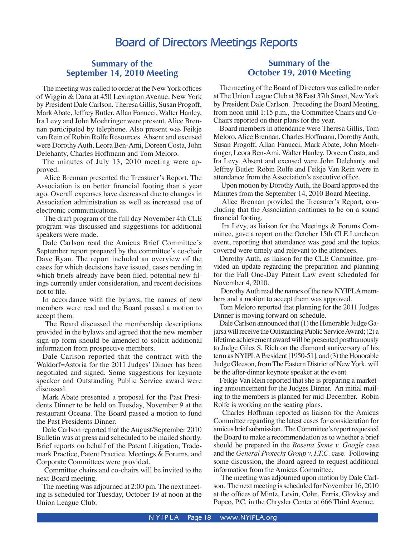# **Board of Directors Meetings Reports**

# <span id="page-17-0"></span>**Summary of the September 14, 2010 Meeting**

The meeting was called to order at the New York offices of Wiggin & Dana at 450 Lexington Avenue, New York by President Dale Carlson. Theresa Gillis, Susan Progoff, Mark Abate, Jeffrey Butler, Allan Fanucci, Walter Hanley, Ira Levy and John Moehringer were present. Alice Brennan participated by telephone. Also present was Feikje van Rein of Robin Rolfe Resources. Absent and excused were Dorothy Auth, Leora Ben-Ami, Doreen Costa, John Delehanty, Charles Hoffmann and Tom Meloro.

The minutes of July 13, 2010 meeting were approved.

 Alice Brennan presented the Treasurer's Report. The Association is on better financial footing than a year ago. Overall expenses have decreased due to changes in Association administration as well as increased use of electronic communications.

 The draft program of the full day November 4th CLE program was discussed and suggestions for additional speakers were made.

Dale Carlson read the Amicus Brief Committee's September report prepared by the committee's co-chair Dave Ryan. The report included an overview of the cases for which decisions have issued, cases pending in which briefs already have been filed, potential new filings currently under consideration, and recent decisions not to file.

In accordance with the bylaws, the names of new members were read and the Board passed a motion to accept them.

 The Board discussed the membership descriptions provided in the bylaws and agreed that the new member sign-up form should be amended to solicit additional information from prospective members.

Dale Carlson reported that the contract with the Waldorf=Astoria for the 2011 Judges' Dinner has been negotiated and signed. Some suggestions for keynote speaker and Outstanding Public Service award were discussed.

Mark Abate presented a proposal for the Past Presidents Dinner to be held on Tuesday, November 9 at the restaurant Oceana. The Board passed a motion to fund the Past Presidents Dinner.

Dale Carlson reported that the August/September 2010 Bulletin was at press and scheduled to be mailed shortly. Brief reports on behalf of the Patent Litigation, Trademark Practice, Patent Practice, Meetings & Forums, and Corporate Committees were provided.

 Committee chairs and co-chairs will be invited to the next Board meeting.

The meeting was adjourned at 2:00 pm. The next meeting is scheduled for Tuesday, October 19 at noon at the Union League Club.

# **Summary of the October 19, 2010 Meeting**

The meeting of the Board of Directors was called to order at The Union League Club at 38 East 37th Street, New York by President Dale Carlson. Preceding the Board Meeting, from noon until 1:15 p.m., the Committee Chairs and Co-Chairs reported on their plans for the year.

Board members in attendance were Theresa Gillis, Tom Meloro, Alice Brennan, Charles Hoffmann, Dorothy Auth, Susan Progoff, Allan Fanucci, Mark Abate, John Moehringer, Leora Ben-Ami, Walter Hanley, Doreen Costa, and Ira Levy. Absent and excused were John Delehanty and Jeffrey Butler. Robin Rolfe and Feikje Van Rein were in attendance from the Association's executive office.

 Upon motion by Dorothy Auth, the Board approved the Minutes from the September 14, 2010 Board Meeting.

 Alice Brennan provided the Treasurer's Report, concluding that the Association continues to be on a sound financial footing.

 Ira Levy, as liaison for the Meetings & Forums Committee, gave a report on the October 15th CLE Luncheon event, reporting that attendance was good and the topics covered were timely and relevant to the attendees.

Dorothy Auth, as liaison for the CLE Committee, provided an update regarding the preparation and planning for the Fall One-Day Patent Law event scheduled for November 4, 2010.

 Dorothy Auth read the names of the new NYIPLA members and a motion to accept them was approved.

Tom Meloro reported that planning for the 2011 Judges Dinner is moving forward on schedule.

Dale Carlson announced that (1) the Honorable Judge Gajarsa will receive the Outstanding Public Service Award; (2) a lifetime achievement award will be presented posthumously to Judge Giles S. Rich on the diamond anniversary of his term as NYIPLA President [1950-51], and (3) the Honorable Judge Gleeson, from The Eastern District of New York, will be the after-dinner keynote speaker at the event.

Feikje Van Rein reported that she is preparing a marketing announcement for the Judges Dinner. An initial mailing to the members is planned for mid-December. Robin Rolfe is working on the seating plans.

 Charles Hoffman reported as liaison for the Amicus Committee regarding the latest cases for consideration for amicus brief submission. The Committee's report requested the Board to make a recommendation as to whether a brief should be prepared in the *Rosetta Stone v. Google* case and the *General Protecht Group v. I.T.C.* case. Following some discussion, the Board agreed to request additional information from the Amicus Committee.

 The meeting was adjourned upon motion by Dale Carlson. The next meeting is scheduled for November 16, 2010 at the offices of Mintz, Levin, Cohn, Ferris, Glovksy and Popeo, P.C. in the Chrysler Center at 666 Third Avenue.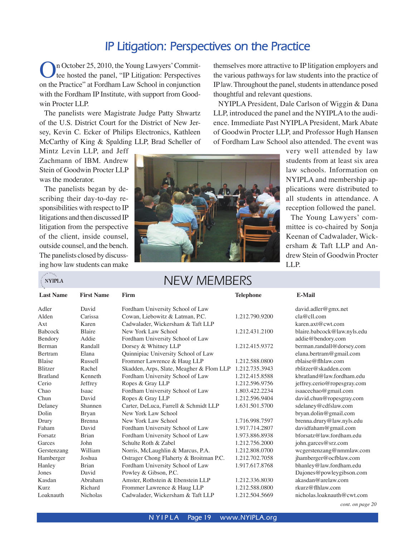# **IP Litigation: Perspectives on the Practice**

<span id="page-18-0"></span>In October 25, 2010, the Young Lawyers' Committee hosted the panel, "IP Litigation: Perspectives on the Practice" at Fordham Law School in conjunction with the Fordham IP Institute, with support from Goodwin Procter LLP.

The panelists were Magistrate Judge Patty Shwartz of the U.S. District Court for the District of New Jersey, Kevin C. Ecker of Philips Electronics, Kathleen McCarthy of King & Spalding LLP, Brad Scheller of

Mintz Levin LLP, and Jeff Zachmann of IBM. Andrew Stein of Goodwin Procter LLP was the moderator.

The panelists began by describing their day-to-day responsibilities with respect to IP litigations and then discussed IP litigation from the perspective of the client, inside counsel, outside counsel, and the bench. The panelists closed by discussing how law students can make

**NYIPLA** 



# NEW MEMBERS

| <b>Last Name</b> | <b>First Name</b> | Firm                                     | <b>Telephone</b> | E-Mail                      |
|------------------|-------------------|------------------------------------------|------------------|-----------------------------|
| Adler            | David             | Fordham University School of Law         |                  | david.addler@gmx.net        |
| Alden            | Carissa           | Cowan, Liebowitz & Latman, P.C.          | 1.212.790.9200   | cla@cll.com                 |
| Axt              | Karen             | Cadwalader, Wickersham & Taft LLP        |                  | karen.axt@cwt.com           |
| <b>Babcock</b>   | Blaire            | New York Law School                      | 1.212.431.2100   | blaire.babcock@law.nyls.edu |
| Bendory          | Addie             | Fordham University School of Law         |                  | addie@bendory.com           |
| Berman           | Randall           | Dorsey & Whitney LLP                     | 1.212.415.9372   | berman.randall@dorsey.com   |
| <b>Bertram</b>   | Elana             | Quinnipiac University School of Law      |                  | elana.bertram@gmail.com     |
| <b>Blaise</b>    | Russell           | Frommer Lawrence & Haug LLP              | 1.212.588.0800   | rblaise@flhlaw.com          |
| Blitzer          | Rachel            | Skadden, Arps, Slate, Meagher & Flom LLP | 1.212.735.3943   | rblitzer@skadden.com        |
| <b>Bratland</b>  | Kenneth           | Fordham University School of Law         | 1.212.415.8588   | kbratland@law.fordham.edu   |
| Cerio            | Jeffrey           | Ropes & Gray LLP                         | 1.212.596.9756   | jeffrey.cerio@ropesgray.com |
| Chao             | Isaac             | Fordham University School of Law         | 1.803.422.2234   | isaacechao@gmail.com        |
| Chun             | David             | Ropes & Gray LLP                         | 1.212.596.9404   | david.chun@ropesgray.com    |
| Delaney          | Shannen           | Carter, DeLuca, Farrell & Schmidt LLP    | 1.631.501.5700   | sdelaney@cdfslaw.com        |
| Dolin            | <b>Bryan</b>      | New York Law School                      |                  | bryan.dolin@gmail.com       |
| Drury            | <b>Brenna</b>     | New York Law School                      | 1.716.998.7597   | brenna.drury@law.nyls.edu   |
| Faham            | David             | Fordham University School of Law         | 1.917.714.2807   | davidfaham@gmail.com        |
| Forsatz          | <b>Brian</b>      | Fordham University School of Law         | 1.973.886.8938   | bforsatz@law.fordham.edu    |
| Garces           | John              | Schulte Roth & Zabel                     | 1.212.756.2000   | john.garces@srz.com         |
| Gerstenzang      | William           | Norris, McLaughlin & Marcus, P.A.        | 1.212.808.0700   | wcgerstenzang@nmmlaw.com    |
| Hamberger        | Joshua            | Ostrager Chong Flaherty & Broitman P.C.  | 1.212.702.7058   | jhamberger@ocfblaw.com      |
| Hanley           | <b>Brian</b>      | Fordham University School of Law         | 1.917.617.8768   | bhanley@law.fordham.edu     |
| Jones            | David             | Powley & Gibson, P.C.                    |                  | Dajones@powleygibson.com    |
| Kasdan           | Abraham           | Amster, Rothstein & Ebenstein LLP        | 1.212.336.8030   | akasdan@arelaw.com          |
| Kurz             | Richard           | Frommer Lawrence & Haug LLP              | 1.212.588.0800   | rkurz@flhlaw.com            |
| Loaknauth        | Nicholas          | Cadwalader, Wickersham & Taft LLP        | 1.212.504.5669   | nicholas.loaknauth@cwt.com  |

themselves more attractive to IP litigation employers and the various pathways for law students into the practice of IP law. Throughout the panel, students in attendance posed thoughtful and relevant questions.

NYIPLA President, Dale Carlson of Wiggin & Dana LLP, introduced the panel and the NYIPLA to the audience. Immediate Past NYIPLA President, Mark Abate of Goodwin Procter LLP, and Professor Hugh Hansen of Fordham Law School also attended. The event was

> very well attended by law students from at least six area law schools. Information on NYIPLA and membership applications were distributed to all students in attendance. A reception followed the panel.

> The Young Lawyers' committee is co-chaired by Sonja Keenan of Cadwalader, Wickersham & Taft LLP and Andrew Stein of Goodwin Procter LLP.

*cont. on page 20*